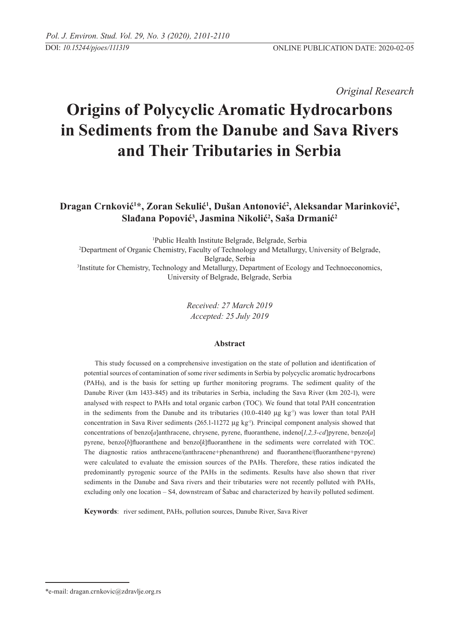*Original Research* 

# **Origins of Polycyclic Aromatic Hydrocarbons in Sediments from the Danube and Sava Rivers and Their Tributaries in Serbia**

# **Dragan Crnković<sup>1</sup> \*, Zoran Sekulić<sup>1</sup> , Dušan Antonović<sup>2</sup> , Aleksandar Marinković<sup>2</sup> , Slađana Popović<sup>3</sup> , Jasmina Nikolić<sup>2</sup> , Saša Drmanić<sup>2</sup>**

1 Public Health Institute Belgrade, Belgrade, Serbia 2 Department of Organic Chemistry, Faculty of Technology and Metallurgy, University of Belgrade, Belgrade, Serbia 3 Institute for Chemistry, Technology and Metallurgy, Department of Ecology and Technoeconomics, University of Belgrade, Belgrade, Serbia

> *Received: 27 March 2019 Accepted: 25 July 2019*

### **Abstract**

This study focussed on a comprehensive investigation on the state of pollution and identification of potential sources of contamination of some river sediments in Serbia by polycyclic aromatic hydrocarbons (PAHs), and is the basis for setting up further monitoring programs. The sediment quality of the Danube River (km 1433-845) and its tributaries in Serbia, including the Sava River (km 202-1), were analysed with respect to PAHs and total organic carbon (TOC). We found that total PAH concentration in the sediments from the Danube and its tributaries (10.0-4140  $\mu$ g kg<sup>-1</sup>) was lower than total PAH concentration in Sava River sediments  $(265.1-11272 \mu g kg^{-1})$ . Principal component analysis showed that concentrations of benzo[*a*]anthracene, chrysene, pyrene, fluoranthene, indeno[*1,2,3-cd*]pyrene, benzo[*a*] pyrene, benzo[*b*]fluoranthene and benzo[*k*]fluoranthene in the sediments were correlated with TOC. The diagnostic ratios anthracene/(anthracene+phenanthrene) and fluoranthene/(fluoranthene+pyrene) were calculated to evaluate the emission sources of the PAHs. Therefore, these ratios indicated the predominantly pyrogenic source of the PAHs in the sediments. Results have also shown that river sediments in the Danube and Sava rivers and their tributaries were not recently polluted with PAHs, excluding only one location – S4, downstream of Šabac and characterized by heavily polluted sediment.

**Keywords**: river sediment, PAHs, pollution sources, Danube River, Sava River

<sup>\*</sup>e-mail: dragan.crnkovic@zdravlje.org.rs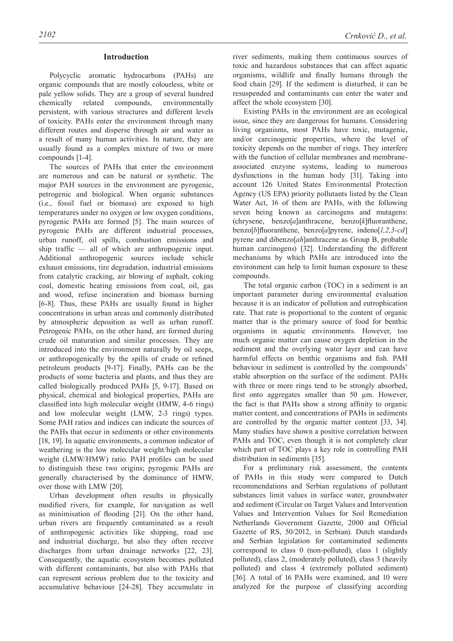### **Introduction**

Polycyclic aromatic hydrocarbons (PAHs) are organic compounds that are mostly colourless, white or pale yellow solids. They are a group of several hundred chemically related compounds, environmentally persistent, with various structures and different levels of toxicity. PAHs enter the environment through many different routes and disperse through air and water as a result of many human activities. In nature, they are usually found as a complex mixture of two or more compounds [1-4].

The sources of PAHs that enter the environment are numerous and can be natural or synthetic. The major PAH sources in the environment are pyrogenic, petrogenic and biological. When organic substances (i.e., fossil fuel or biomass) are exposed to high temperatures under no oxygen or low oxygen conditions, pyrogenic PAHs are formed [5]. The main sources of pyrogenic PAHs are different industrial processes, urban runoff, oil spills, combustion emissions and ship traffic — all of which are anthropogenic input. Additional anthropogenic sources include vehicle exhaust emissions, tire degradation, industrial emissions from catalytic cracking, air blowing of asphalt, coking coal, domestic heating emissions from coal, oil, gas and wood, refuse incineration and biomass burning [6-8]. Thus, these PAHs are usually found in higher concentrations in urban areas and commonly distributed by atmospheric deposition as well as urban runoff. Petrogenic PAHs, on the other hand, are formed during crude oil maturation and similar processes. They are introduced into the environment naturally by oil seeps, or anthropogenically by the spills of crude or refined petroleum products [9-17]. Finally, PAHs can be the products of some bacteria and plants, and thus they are called biologically produced PAHs [5, 9-17]. Based on physical, chemical and biological properties, PAHs are classified into high molecular weight (HMW, 4-6 rings) and low molecular weight (LMW, 2-3 rings) types. Some PAH ratios and indices can indicate the sources of the PAHs that occur in sediments or other environments [18, 19]. In aquatic environments, a common indicator of weathering is the low molecular weight/high molecular weight (LMW/HMW) ratio. PAH profiles can be used to distinguish these two origins; pyrogenic PAHs are generally characterised by the dominance of HMW, over those with LMW [20].

Urban development often results in physically modified rivers, for example, for navigation as well as minimisation of flooding [21]. On the other hand, urban rivers are frequently contaminated as a result of anthropogenic activities like shipping, road use and industrial discharge, but also they often receive discharges from urban drainage networks [22, 23]. Consequently, the aquatic ecosystem becomes polluted with different contaminants, but also with PAHs that can represent serious problem due to the toxicity and accumulative behaviour [24-28]. They accumulate in

river sediments, making them continuous sources of toxic and hazardous substances that can affect aquatic organisms, wildlife and finally humans through the food chain [29]. If the sediment is disturbed, it can be resuspended and contaminants can enter the water and affect the whole ecosystem [30].

Existing PAHs in the environment are an ecological issue, since they are dangerous for humans. Considering living organisms, most PAHs have toxic, mutagenic, and/or carcinogenic properties, where the level of toxicity depends on the number of rings. They interfere with the function of cellular membranes and membraneassociated enzyme systems, leading to numerous dysfunctions in the human body [31]. Taking into account 126 United States Environmental Protection Agency (US EPA) priority pollutants listed by the Clean Water Act, 16 of them are PAHs, with the following seven being known as carcinogens and mutagens: (chrysene, benzo[*a*]anthracene, benzo[*k*]fluoranthene, benzo[*b*]fluoranthene, benzo[*a*]pyrene, indeno[*1,2,3-cd*] pyrene and dibenzo[*ah*]anthracene as Group B, probable human carcinogens) [32]. Understanding the different mechanisms by which PAHs are introduced into the environment can help to limit human exposure to these compounds.

The total organic carbon (TOC) in a sediment is an important parameter during environmental evaluation because it is an indicator of pollution and eutrophication rate. That rate is proportional to the content of organic matter that is the primary source of food for benthic organisms in aquatic environments. However, too much organic matter can cause oxygen depletion in the sediment and the overlying water layer and can have harmful effects on benthic organisms and fish. PAH behaviour in sediment is controlled by the compounds' stable absorption on the surface of the sediment. PAHs with three or more rings tend to be strongly absorbed, first onto aggregates smaller than 50 µm. However, the fact is that PAHs show a strong affinity to organic matter content, and concentrations of PAHs in sediments are controlled by the organic matter content [33, 34]. Many studies have shown a positive correlation between PAHs and TOC, even though it is not completely clear which part of TOC plays a key role in controlling PAH distribution in sediments [35].

For a preliminary risk assessment, the contents of PAHs in this study were compared to Dutch recommendations and Serbian regulations of pollutant substances limit values in surface water, groundwater and sediment (Circular on Target Values and Intervention Values and Intervention Values for Soil Remediation Netherlands Government Gazette, 2000 and Official Gazette of RS, 50/2012, in Serbian). Dutch standards and Serbian legislation for contaminated sediments correspond to class 0 (non-polluted), class 1 (slightly polluted), class 2, (moderately polluted), class 3 (heavily polluted) and class 4 (extremely polluted sediment) [36]. A total of 16 PAHs were examined, and 10 were analyzed for the purpose of classifying according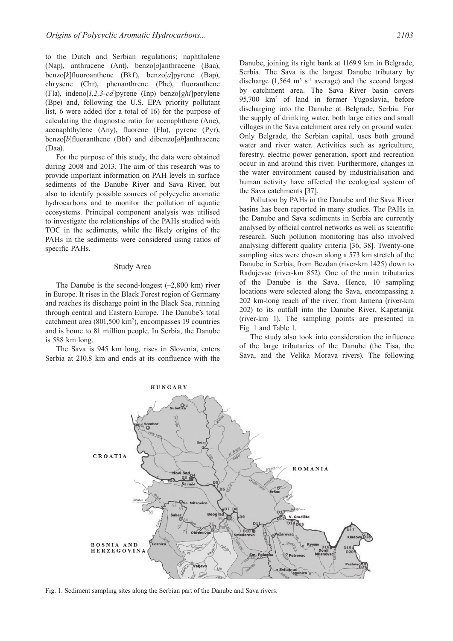to the Dutch and Serbian regulations; naphthalene (Nap), anthracene (Ant), benzo[*a*]anthracene (Baa), benzo[*k*]fluoroanthene (Bkf), benzo[*a*]pyrene (Bap), chrysene (Chr), phenanthrene (Phe), fluoranthene (Fla), indeno[*1,2,3-cd*]pyrene (Inp) benzo[*ghi*]perylene (Bpe) and, following the U.S. EPA priority pollutant list, 6 were added (for a total of 16) for the purpose of calculating the diagnostic ratio for acenaphthene (Ane), acenaphthylene (Any), fluorene (Flu), pyrene (Pyr), benzo[*b*]fluoranthene (Bbf) and dibenzo[*ah*]anthracene (Daa).

For the purpose of this study, the data were obtained during 2008 and 2013. The aim of this research was to provide important information on PAH levels in surface sediments of the Danube River and Sava River, but also to identify possible sources of polycyclic aromatic hydrocarbons and to monitor the pollution of aquatic ecosystems. Principal component analysis was utilised to investigate the relationships of the PAHs studied with TOC in the sediments, while the likely origins of the PAHs in the sediments were considered using ratios of specific PAHs.

### Study Area

The Danube is the second-longest  $(\sim 2,800 \text{ km})$  river in Europe. It rises in the Black Forest region of Germany and reaches its discharge point in the Black Sea, running through central and Eastern Europe. The Danube's total catchment area (801,500 km<sup>2</sup>), encompasses 19 countries and is home to 81 million people. In Serbia, the Danube is 588 km long.

The Sava is 945 km long, rises in Slovenia, enters Serbia at 210.8 km and ends at its confluence with the Danube, joining its right bank at 1169.9 km in Belgrade, Serbia. The Sava is the largest Danube tributary by discharge  $(1,564 \text{ m}^3 \text{ s}^{-1}$  average) and the second largest by catchment area. The Sava River basin covers 95,700 km2 of land in former Yugoslavia, before discharging into the Danube at Belgrade, Serbia. For the supply of drinking water, both large cities and small villages in the Sava catchment area rely on ground water. Only Belgrade, the Serbian capital, uses both ground water and river water. Activities such as agriculture, forestry, electric power generation, sport and recreation occur in and around this river. Furthermore, changes in the water environment caused by industrialisation and human activity have affected the ecological system of the Sava catchments [37].

Pollution by PAHs in the Danube and the Sava River basins has been reported in many studies. The PAHs in the Danube and Sava sediments in Serbia are currently analysed by official control networks as well as scientific research. Such pollution monitoring has also involved analysing different quality criteria [36, 38]. Twenty-one sampling sites were chosen along a 573 km stretch of the Danube in Serbia, from Bezdan (river-km 1425) down to Radujevac (river-km 852). One of the main tributaries of the Danube is the Sava. Hence, 10 sampling locations were selected along the Sava, encompassing a 202 km-long reach of the river, from Jamena (river-km 202) to its outfall into the Danube River, Kapetanija (river-km 1). The sampling points are presented in Fig. 1 and Table 1.

The study also took into consideration the influence of the large tributaries of the Danube (the Tisa, the Sava, and the Velika Morava rivers). The following



Fig. 1. Sediment sampling sites along the Serbian part of the Danube and Sava rivers.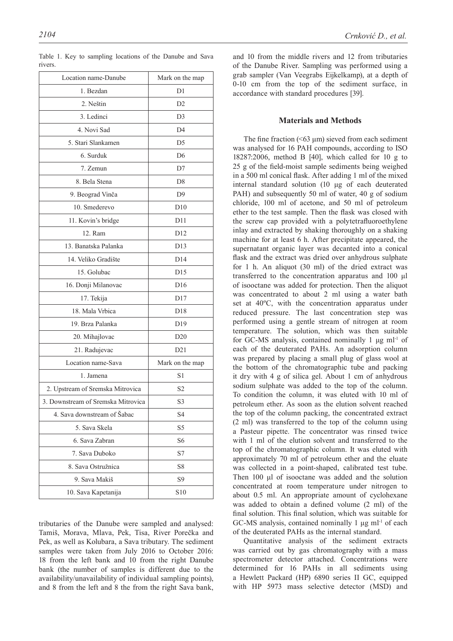| Location name-Danube               | Mark on the map |
|------------------------------------|-----------------|
| 1. Bezdan                          | D <sub>1</sub>  |
| 2. Neštin                          | D2              |
| 3. Ledinci                         | D <sub>3</sub>  |
| 4. Novi Sad                        | D <sub>4</sub>  |
| 5. Stari Slankamen                 | D <sub>5</sub>  |
| 6. Surduk                          | D <sub>6</sub>  |
| 7. Zemun                           | D7              |
| 8. Bela Stena                      | D <sub>8</sub>  |
| 9. Beograd Vinča                   | D <sub>9</sub>  |
| 10. Smederevo                      | D10             |
| 11. Kovin's bridge                 | D11             |
| 12. Ram                            | D12             |
| 13. Banatska Palanka               | D13             |
| 14. Veliko Gradište                | D14             |
| 15. Golubac                        | D15             |
| 16. Donji Milanovac                | D16             |
| 17. Tekija                         | D17             |
| 18. Mala Vrbica                    | D <sub>18</sub> |
| 19. Brza Palanka                   | D19             |
| 20. Mihajlovac                     | D20             |
| 21. Radujevac                      | D21             |
| Location name-Sava                 | Mark on the map |
| 1. Jamena                          | S1              |
| 2. Upstream of Sremska Mitrovica   | S <sub>2</sub>  |
| 3. Downstream of Sremska Mitrovica | S3              |
| 4. Sava downstream of Šabac        | S <sub>4</sub>  |
| 5. Sava Skela                      | S5              |
| 6. Sava Zabran                     | S <sub>6</sub>  |
| 7. Sava Duboko                     | S7              |
| 8. Sava Ostružnica                 | S8              |
| 9. Sava Makiš                      | S9              |
| 10. Sava Kapetanija                | S10             |
|                                    |                 |

Table 1. Key to sampling locations of the Danube and Sava rivers.

tributaries of the Danube were sampled and analysed: Tamiš, Morava, Mlava, Pek, Tisa, River Porečka and Pek, as well as Kolubara, a Sava tributary. The sediment samples were taken from July 2016 to October 2016: 18 from the left bank and 10 from the right Danube bank (the number of samples is different due to the availability/unavailability of individual sampling points), and 8 from the left and 8 the from the right Sava bank, and 10 from the middle rivers and 12 from tributaries of the Danube River. Sampling was performed using a grab sampler (Van Veegrabs Eijkelkamp), at a depth of 0-10 cm from the top of the sediment surface, in accordance with standard procedures [39].

# **Materials and Methods**

The fine fraction  $(53 \text{ µm})$  sieved from each sediment was analysed for 16 PAH compounds, according to ISO 18287:2006, method B [40], which called for 10 g to 25 g of the field-moist sample sediments being weighed in a 500 ml conical flask. After adding 1 ml of the mixed internal standard solution (10 μg of each deuterated PAH) and subsequently 50 ml of water, 40 g of sodium chloride, 100 ml of acetone, and 50 ml of petroleum ether to the test sample. Then the flask was closed with the screw cap provided with a polytetrafluoroethylene inlay and extracted by shaking thoroughly on a shaking machine for at least 6 h. After precipitate appeared, the supernatant organic layer was decanted into a conical flask and the extract was dried over anhydrous sulphate for 1 h. An aliquot (30 ml) of the dried extract was transferred to the concentration apparatus and 100 μl of isooctane was added for protection. Then the aliquot was concentrated to about 2 ml using a water bath set at 40ºC, with the concentration apparatus under reduced pressure. The last concentration step was performed using a gentle stream of nitrogen at room temperature. The solution, which was then suitable for GC-MS analysis, contained nominally 1  $\mu$ g ml<sup>-1</sup> of each of the deuterated PAHs. An adsorption column was prepared by placing a small plug of glass wool at the bottom of the chromatographic tube and packing it dry with 4 g of silica gel. About 1 cm of anhydrous sodium sulphate was added to the top of the column. To condition the column, it was eluted with 10 ml of petroleum ether. As soon as the elution solvent reached the top of the column packing, the concentrated extract (2 ml) was transferred to the top of the column using a Pasteur pipette. The concentrator was rinsed twice with 1 ml of the elution solvent and transferred to the top of the chromatographic column. It was eluted with approximately 70 ml of petroleum ether and the eluate was collected in a point-shaped, calibrated test tube. Then 100 μl of isooctane was added and the solution concentrated at room temperature under nitrogen to about 0.5 ml. An appropriate amount of cyclohexane was added to obtain a defined volume (2 ml) of the final solution. This final solution, which was suitable for  $GC-MS$  analysis, contained nominally 1  $\mu$ g ml<sup>-1</sup> of each of the deuterated PAHs as the internal standard.

Quantitative analysis of the sediment extracts was carried out by gas chromatography with a mass spectrometer detector attached. Concentrations were determined for 16 PAHs in all sediments using a Hewlett Packard (HP) 6890 series II GC, equipped with HP 5973 mass selective detector (MSD) and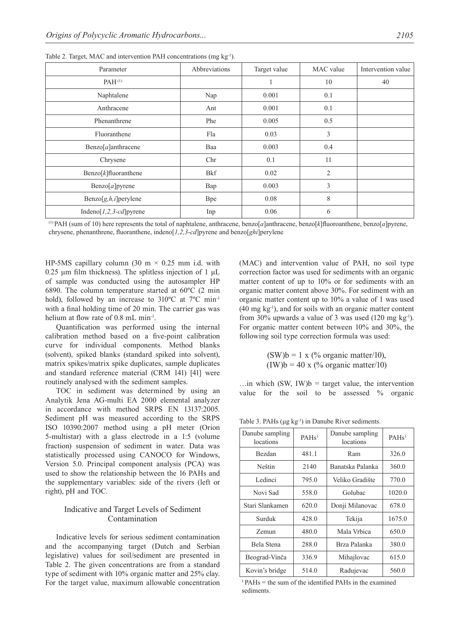| Parameter                      | Abbreviations | Target value | MAC value      | Intervention value |
|--------------------------------|---------------|--------------|----------------|--------------------|
| $PAH^{(1)}$                    |               | 1            | 10             | 40                 |
| Naphtalene                     | Nap           | 0.001        | 0.1            |                    |
| Anthracene                     | Ant           | 0.001        | 0.1            |                    |
| Phenanthrene                   | Phe           | 0.005        | 0.5            |                    |
| Fluoranthene                   | Fla           | 0.03         | 3              |                    |
| Benzo $[a]$ anthracene         | Baa           | 0.003        | 0.4            |                    |
| Chrysene                       | Chr           | 0.1          | 11             |                    |
| $\text{Benzo}[k]$ fluoranthene | <b>Bkf</b>    | 0.02         | $\overline{2}$ |                    |
| Benzo[a]pyrene                 | Bap           | 0.003        | 3              |                    |
| $\text{Benzo}[g,h,i]$ perylene | <b>Bpe</b>    | 0.08         | 8              |                    |
| Indeno $[1,2,3-cd]$ pyrene     | Inp           | 0.06         | 6              |                    |

Table 2. Target, MAC and intervention PAH concentrations (mg kg-1).

(1) PAH (sum of 10) here represents the total of naphtalene, anthracene, benzo[*a*]anthracene, benzo[*k*]fluoroanthene, benzo[*a*]pyrene, chrysene, phenanthrene, fluoranthene, indeno[*1,2,3*-*cd*]pyrene and benzo[*ghi*]perylene

HP-5MS capillary column  $(30 \text{ m} \times 0.25 \text{ mm} \text{ i.d. with}$ 0.25 μm film thickness). The splitless injection of 1  $\mu$ L of sample was conducted using the autosampler HP 6890. The column temperature started at 60ºC (2 min hold), followed by an increase to 310°C at 7°C min<sup>-1</sup> with a final holding time of 20 min. The carrier gas was helium at flow rate of 0.8 mL min<sup>-1</sup>.

Quantification was performed using the internal calibration method based on a five-point calibration curve for individual components. Method blanks (solvent), spiked blanks (standard spiked into solvent), matrix spikes/matrix spike duplicates, sample duplicates and standard reference material (CRM 141) [41] were routinely analysed with the sediment samples.

TOC in sediment was determined by using an Analytik Jena AG-multi EA 2000 elemental analyzer in accordance with method SRPS EN 13137:2005. Sediment pH was measured according to the SRPS ISO 10390:2007 method using a pH meter (Orion 5-multistar) with a glass electrode in a 1:5 (volume fraction) suspension of sediment in water. Data was statistically processed using CANOCO for Windows, Version 5.0. Principal component analysis (PCA) was used to show the relationship between the 16 PAHs and the supplementary variables: side of the rivers (left or right), pH and TOC.

# Indicative and Target Levels of Sediment Contamination

Indicative levels for serious sediment contamination and the accompanying target (Dutch and Serbian legislative) values for soil/sediment are presented in Table 2. The given concentrations are from a standard type of sediment with 10% organic matter and 25% clay. For the target value, maximum allowable concentration (MAC) and intervention value of PAH, no soil type correction factor was used for sediments with an organic matter content of up to 10% or for sediments with an organic matter content above 30%. For sediment with an organic matter content up to 10% a value of 1 was used (40 mg kg-1), and for soils with an organic matter content from 30% upwards a value of 3 was used  $(120 \text{ mg kg}^{-1})$ . For organic matter content between 10% and 30%, the following soil type correction formula was used:

(SW)b = 1 x (% organic matter/10), (IW)b = 40 x (% organic matter/10)

 $\dots$  in which (SW, IW) $b = \text{target value}$ , the intervention value for the soil to be assessed % organic

Table 3. PAHs  $(\mu g \, kg^{-1})$  in Danube River sediments.

| Danube sampling<br>locations | PAHs <sup>1</sup> | Danube sampling<br>locations | PAHs <sup>1</sup> |
|------------------------------|-------------------|------------------------------|-------------------|
| <b>Bezdan</b>                | 481.1             | Ram                          | 326.0             |
| Neštin                       | 2140              | Banatska Palanka             | 360.0             |
| Ledinci                      | 795.0             | Veliko Gradište              | 770.0             |
| Novi Sad                     | 558.0             | Golubac                      | 1020.0            |
| Stari Slankamen              | 620.0             | Donji Milanovac              | 678.0             |
| Surduk                       | 428.0             | Tekija                       | 1675.0            |
| Zemun                        | 480.0             | Mala Vrbica                  | 650.0             |
| Bela Stena                   | 288.0             | Brza Palanka                 | 380.0             |
| Beograd-Vinča                | 336.9             | Mihajlovac                   | 615.0             |
| Kovin's bridge               | 514.0             | Radujevac                    | 560.0             |

 $1$ PAHs = the sum of the identified PAHs in the examined sediments.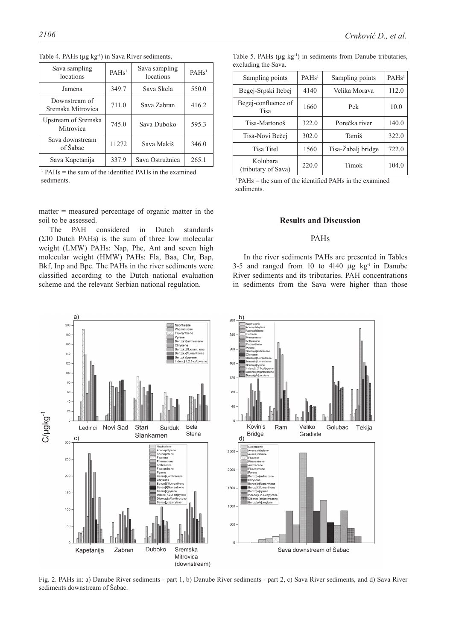| Sava sampling<br>locations         | PAHs <sup>1</sup> | Sava sampling<br>locations | PAHs <sup>1</sup> |
|------------------------------------|-------------------|----------------------------|-------------------|
| Jamena                             | 349.7             | Sava Skela                 | 550.0             |
| Downstream of<br>Sremska Mitrovica | 711.0             | Sava Zabran                | 416.2             |
| Upstream of Sremska<br>Mitrovica   | 745.0             | Sava Duboko                | 595.3             |
| Sava downstream<br>of Šabac        | 11272             | Sava Makiš                 | 346.0             |
| Sava Kapetanija                    | 337.9             | Sava Ostružnica            | 265.1             |

Table 4. PAHs (μg kg<sup>-1</sup>) in Sava River sediments.

 $<sup>1</sup>$  PAHs = the sum of the identified PAHs in the examined</sup> sediments.

matter = measured percentage of organic matter in the soil to be assessed.

The PAH considered in Dutch standards (Σ10 Dutch PAHs) is the sum of three low molecular weight (LMW) PAHs: Nap, Phe, Ant and seven high molecular weight (HMW) PAHs: Fla, Baa, Chr, Bap, Bkf, Inp and Bpe. The PAHs in the river sediments were classified according to the Dutch national evaluation scheme and the relevant Serbian national regulation.

| Sampling points                 | PAHs <sup>1</sup> | Sampling points    | PAHs <sup>1</sup> |
|---------------------------------|-------------------|--------------------|-------------------|
| Begej-Srpski Itebej             | 4140              | Velika Morava      | 112.0             |
| Begej-confluence of<br>Tisa     | 1660              | Pek                | 10.0              |
| Tisa-Martonoš                   | 322.0             | Porečka river      | 140.0             |
| Tisa-Novi Bečej                 | 302.0             | Tamiš              | 322.0             |
| <b>Tisa Titel</b>               | 1560              | Tisa-Žabalj bridge | 722.0             |
| Kolubara<br>(tributary of Sava) | 220.0             | Timok              | 104.0             |

Table 5. PAHs (μg kg-1) in sediments from Danube tributaries,

excluding the Sava.

 $1$ PAHs = the sum of the identified PAHs in the examined sediments.

# **Results and Discussion**

# PAHs

In the river sediments PAHs are presented in Tables 3-5 and ranged from 10 to 4140  $\mu$ g kg<sup>-1</sup> in Danube River sediments and its tributaries. PAH concentrations in sediments from the Sava were higher than those



Fig. 2. PAHs in: a) Danube River sediments - part 1, b) Danube River sediments - part 2, c) Sava River sediments, and d) Sava River sediments downstream of Šabac.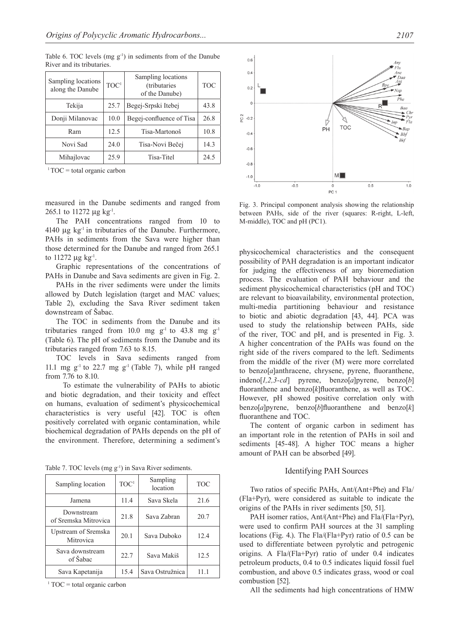Table 6. TOC levels (mg  $g^{-1}$ ) in sediments from of the Danube River and its tributaries.

| Sampling locations<br>along the Danube | TOC <sup>1</sup> | Sampling locations<br>(tributaries<br>of the Danube) | <b>TOC</b> |
|----------------------------------------|------------------|------------------------------------------------------|------------|
| Tekija                                 | 25.7             | Begej-Srpski Itebej                                  | 43.8       |
| Donji Milanovac                        | 10.0             | Begej-confluence of Tisa                             | 26.8       |
| Ram                                    | 12.5             | Tisa-Martonoš                                        | 10.8       |
| Novi Sad                               | 24.0             | Tisa-Novi Bečej                                      | 14.3       |
| Mihajlovac                             | 25.9             | Tisa-Titel                                           | 24.5       |

 $1\text{TOC}$  = total organic carbon

measured in the Danube sediments and ranged from 265.1 to 11272 µg kg-1.

The PAH concentrations ranged from 10 to 4140  $\mu$ g kg<sup>-1</sup> in tributaries of the Danube. Furthermore, PAHs in sediments from the Sava were higher than those determined for the Danube and ranged from 265.1 to  $11272 \mu$ g kg<sup>-1</sup>.

Graphic representations of the concentrations of PAHs in Danube and Sava sediments are given in Fig. 2.

PAHs in the river sediments were under the limits allowed by Dutch legislation (target and MAC values; Table 2), excluding the Sava River sediment taken downstream of Šabac.

The TOC in sediments from the Danube and its tributaries ranged from 10.0 mg  $g^{-1}$  to 43.8 mg  $g^{-1}$ (Table 6). The pH of sediments from the Danube and its tributaries ranged from 7.63 to 8.15.

TOC levels in Sava sediments ranged from 11.1 mg  $g^{-1}$  to 22.7 mg  $g^{-1}$  (Table 7), while pH ranged from 7.76 to 8.10.

 To estimate the vulnerability of PAHs to abiotic and biotic degradation, and their toxicity and effect on humans, evaluation of sediment's physicochemical characteristics is very useful [42]. TOC is often positively correlated with organic contamination, while biochemical degradation of PAHs depends on the pH of the environment. Therefore, determining a sediment's

Table 7. TOC levels (mg g<sup>-1</sup>) in Sava River sediments.

| Sampling location                  | TOC <sup>1</sup> | Sampling<br>location | <b>TOC</b> |
|------------------------------------|------------------|----------------------|------------|
| Jamena                             | 11.4             | Sava Skela           | 21.6       |
| Downstream<br>of Sremska Mitrovica | 21.8             | Sava Zabran          | 20.7       |
| Upstream of Sremska<br>Mitrovica   | 20.1             | Sava Duboko          | 12.4       |
| Sava downstream<br>of Šabac        | 22.7             | Sava Makiš           | 12.5       |
| Sava Kapetanija                    | 15.4             | Sava Ostružnica      | 11.1       |

 $1\text{ TOC}$  = total organic carbon



Fig. 3. Principal component analysis showing the relationship between PAHs, side of the river (squares: R-right, L-left, M-middle), TOC and pH (PC1).

physicochemical characteristics and the consequent possibility of PAH degradation is an important indicator for judging the effectiveness of any bioremediation process. The evaluation of PAH behaviour and the sediment physicochemical characteristics (pH and TOC) are relevant to bioavailability, environmental protection, multi-media partitioning behaviour and resistance to biotic and abiotic degradation [43, 44]. PCA was used to study the relationship between PAHs, side of the river, TOC and pH, and is presented in Fig. 3. A higher concentration of the PAHs was found on the right side of the rivers compared to the left. Sediments from the middle of the river (M) were more correlated to benzo[*a*]anthracene, chrysene, pyrene, fluoranthene, indenо[*1,2,3-cd*] pyrene, benzo[*a*]pyrene, benzo[*b*] fluoranthene and benzo[*k*]fluoranthene, as well as TOC. However, pH showed positive correlation only with benzo[*a*]pyrene, benzo[*b*]fluoranthene and benzo[*k*] fluoranthene and TOC.

The content of organic carbon in sediment has an important role in the retention of PAHs in soil and sediments [45-48]. A higher TOC means a higher amount of PAH can be absorbed [49].

#### Identifying PAH Sources

Two ratios of specific PAHs, Ant/(Ant+Phe) and Fla/ (Fla+Pyr), were considered as suitable to indicate the origins of the PAHs in river sediments [50, 51].

PAH isomer ratios, Ant/(Ant+Phe) and Fla/(Fla+Pyr), were used to confirm PAH sources at the 31 sampling locations (Fig. 4.). The Fla/(Fla+Pyr) ratio of 0.5 can be used to differentiate between pyrolytic and petrogenic origins. A Fla/(Fla+Pyr) ratio of under 0.4 indicates petroleum products, 0.4 to 0.5 indicates liquid fossil fuel combustion, and above 0.5 indicates grass, wood or coal combustion [52].

All the sediments had high concentrations of HMW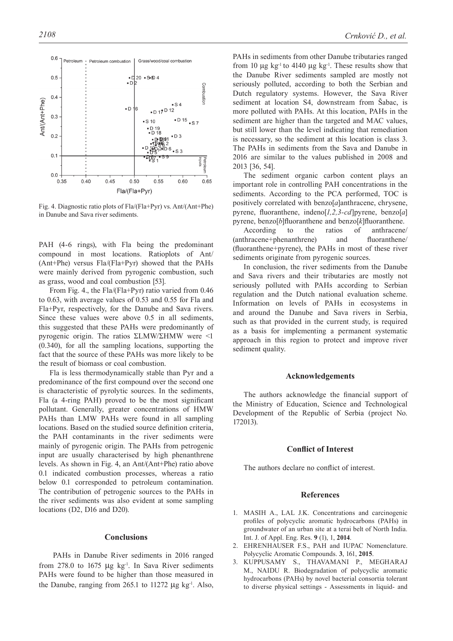

Fig. 4. Diagnostic ratio plots of Fla/(Fla+Pyr) vs. Ant/(Ant+Phe) in Danube and Sava river sediments.

PAH (4-6 rings), with Fla being the predominant compound in most locations. Ratioplots of Ant/ (Ant+Phe) versus Fla/(Fla+Pyr) showed that the PAHs were mainly derived from pyrogenic combustion, such as grass, wood and coal combustion [53].

From Fig. 4., the Fla/(Fla+Pyr) ratio varied from 0.46 to 0.63, with average values of 0.53 and 0.55 for Fla and Fla+Pyr, respectively, for the Danube and Sava rivers. Since these values were above 0.5 in all sediments, this suggested that these PAHs were predominantly of pyrogenic origin. The ratios ΣLMW/ΣHMW were <1 (0.340), for all the sampling locations, supporting the fact that the source of these PAHs was more likely to be the result of biomass or coal combustion.

Fla is less thermodynamically stable than Pyr and a predominance of the first compound over the second one is characteristic of pyrolytic sources. In the sediments, Fla (a 4-ring PAH) proved to be the most significant pollutant. Generally, greater concentrations of HMW PAHs than LMW PAHs were found in all sampling locations. Based on the studied source definition criteria, the PAH contaminants in the river sediments were mainly of pyrogenic origin. The PAHs from petrogenic input are usually characterised by high phenanthrene levels. As shown in Fig. 4, an Ant/(Ant+Phe) ratio above 0.1 indicated combustion processes, whereas a ratio below 0.1 corresponded to petroleum contamination. The contribution of petrogenic sources to the PAHs in the river sediments was also evident at some sampling locations (D2, D16 and D20).

# **Conclusions**

 PAHs in Danube River sediments in 2016 ranged from  $278.0$  to  $1675 \mu g kg^{-1}$ . In Sava River sediments PAHs were found to be higher than those measured in the Danube, ranging from 265.1 to 11272 µg kg-1. Also,

PAHs in sediments from other Danube tributaries ranged from 10  $\mu$ g kg<sup>-1</sup> to 4140  $\mu$ g kg<sup>-1</sup>. These results show that the Danube River sediments sampled are mostly not seriously polluted, according to both the Serbian and Dutch regulatory systems. However, the Sava River sediment at location S4, downstream from Šabac, is more polluted with PAHs. At this location, PAHs in the sediment are higher than the targeted and MAC values, but still lower than the level indicating that remediation is necessary, so the sediment at this location is class 3. The PAHs in sediments from the Sava and Danube in 2016 are similar to the values published in 2008 and 2013 [36, 54].

The sediment organic carbon content plays an important role in controlling PAH concentrations in the sediments. According to the PCA performed, TOC is positively correlated with benzo[*a*]anthracene, chrysene, pyrene, fluoranthene, indeno[*1,2,3-cd*]pyrene, benzo[*a*] pyrene, benzo[*b*]fluoranthene and benzo[*k*]fluoranthene.

According to the ratios of anthracene/ (anthracene+phenanthrene) and fluoranthene/ (fluoranthene+pyrene), the PAHs in most of these river sediments originate from pyrogenic sources.

In conclusion, the river sediments from the Danube and Sava rivers and their tributaries are mostly not seriously polluted with PAHs according to Serbian regulation and the Dutch national evaluation scheme. Information on levels of PAHs in ecosystems in and around the Danube and Sava rivers in Serbia, such as that provided in the current study, is required as a basis for implementing a permanent systematic approach in this region to protect and improve river sediment quality.

#### **Acknowledgements**

The authors acknowledge the financial support of the Ministry of Education, Science and Technological Development of the Republic of Serbia (project No. 172013).

## **Conflict of Interest**

The authors declare no conflict of interest.

#### **References**

- 1. MASIH A., LAL J.K. Concentrations and carcinogenic profiles of polycyclic aromatic hydrocarbons (PAHs) in groundwater of an urban site at a terai belt of North India. Int. J. of Appl. Eng. Res. **9** (1), 1, **2014**.
- 2. EHRENHAUSER F.S., PAH and IUPAC Nomenclature. Polycyclic Aromatic Compounds. **3**, 161, **2015**.
- 3. KUPPUSAMY S., THAVAMANI P., MEGHARAJ M., NAIDU R. Biodegradation of polycyclic aromatic hydrocarbons (PAHs) by novel bacterial consortia tolerant to diverse physical settings - Assessments in liquid- and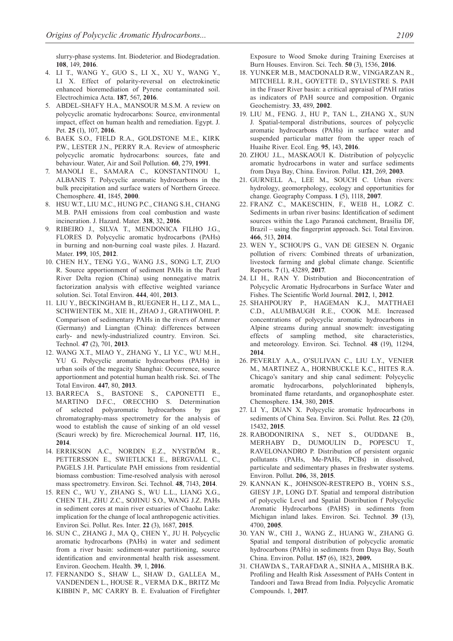slurry-phase systems. Int. Biodeterior. and Biodegradation. **108**, 149, **2016**.

- 4. LI T., WANG Y., GUO S., LI X., XU Y., WANG Y., LI X. Effect of polarity-reversal on electrokinetic enhanced bioremediation of Pyrene contaminated soil. Electrochimica Acta. **187**, 567, **2016**.
- 5. ABDEL-SHAFY H.A., MANSOUR M.S.M. A review on polycyclic aromatic hydrocarbons: Source, environmental impact, effect on human health and remediation. Egypt. J. Pet. **25** (1), 107, **2016**.
- 6. BAEK S.O., FIELD R.A., GOLDSTONE M.E., KIRK P.W., LESTER J.N., PERRY R.A. Review of atmospheric polycyclic aromatic hydrocarbons: sources, fate and behaviour. Water, Air and Soil Pollution. **60**, 279, **1991**.
- 7. MANOLI E., SAMARA C., KONSTANTINOU I., ALBANIS T. Polycyclic aromatic hydrocarbons in the bulk precipitation and surface waters of Northern Greece. Chemosphere. **41**, 1845, **2000**.
- 8. HSU W.T., LIU M.C., HUNG P.C., CHANG S.H., CHANG M.B. PAH emissions from coal combustion and waste incineration. J. Hazard. Mater. **318**, 32, **2016**.
- 9. RIBEIRO J., SILVA T., MENDONICA FILHO J.G., FLORES D. Polycyclic aromatic hydrocarbons (PAHs) in burning and non-burning coal waste piles. J. Hazard. Mater. **199**, 105, **2012**.
- 10. CHEN H.Y., TENG Y.G., WANG J.S., SONG L.T, ZUO R. Source apportionment of sediment PAHs in the Pearl River Delta region (China) using nonnegative matrix factorization analysis with effective weighted variance solution. Sci. Total Environ. **444**, 401, **2013**.
- 11. LIU Y., BECKINGHAM B., RUEGNER H., LI Z., MA L., SCHWIENTEK M., XIE H., ZHAO J., GRATHWOHL P. Comparison of sedimentary PAHs in the rivers of Ammer (Germany) and Liangtan (China): differences between early- and newly-industrialized country. Environ. Sci. Technol. **47** (2), 701, **2013**.
- 12. WANG X.T., MIAO Y., ZHANG Y., LI Y.C., WU M.H., YU G. Polycyclic aromatic hydrocarbons (PAHs) in urban soils of the megacity Shanghai: Occurrence, source apportionment and potential human health risk. Sci. of The Total Environ. **447**, 80, **2013**.
- 13. BARRECA S., BASTONE S., CAPONETTI E., MARTINO D.F.C., ORECCHIO S. Determination of selected polyaromatic hydrocarbons by gas chromatography-mass spectrometry for the analysis of wood to establish the cause of sinking of an old vessel (Scauri wreck) by fire. Microchemical Journal. **117**, 116, **2014**.
- 14. ERRIKSON A.C., NORDIN E.Z., NYSTRÖM R., PETTERSSON E., SWIETLICKI E., BERGVALL C., PAGELS J.H. Particulate PAH emissions from residential biomass combustion: Time-resolved analysis with aerosol mass spectrometry. Environ. Sci. Technol. **48**, 7143, **2014**.
- 15. REN C., WU Y., ZHANG S., WU L.L., LIANG X.G., CHEN T.H., ZHU Z.C., SOJINU S.O., WANG J.Z. PAHs in sediment cores at main river estuaries of Chaohu Lake: implication for the change of local anthropogenic activities. Environ Sci. Pollut. Res. Inter. **22** (3), 1687, **2015**.
- 16. SUN C., ZHANG J., MA Q., CHEN Y., JU H. Polycyclic aromatic hydrocarbons (PAHs) in water and sediment from a river basin: sediment-water partitioning, source identification and environmental health risk assessment. Environ. Geochem. Health. **39**, 1, **2016**.
- 17. FERNANDO S., SHAW L., SHAW D., GALLEA M., VANDENDEN L., HOUSE R., VERMA D.K., BRITZ Mc KIBBIN P., MC CARRY B. E. Evaluation of Firefighter

Exposure to Wood Smoke during Training Exercises at Burn Houses. Environ. Sci. Tech. **50** (3), 1536, **2016**.

- 18. YUNKER M.B., MACDONALD R.W., VINGARZAN R., MITCHELL R.H., GOYETTE D., SYLVESTRE S. PAH in the Fraser River basin: a critical appraisal of PAH ratios as indicators of PAH source and composition. Organic Geochemistry. **33**, 489, **2002**.
- 19. LIU M., FENG. J., HU P., TAN L., ZHANG X., SUN J. Spatial-temporal distributions, sources of polycyclic aromatic hydrocarbons (PAHs) in surface water and suspended particular matter from the upper reach of Huaihe River. Ecol. Eng. **95**, 143, **2016**.
- 20. ZHOU J.L., MASKAOUI K. Distribution of polycyclic aromatic hydrocarbons in water and surface sediments from Daya Bay, China. Environ. Pollut. **121**, 269, **2003**.
- 21. GURNELL A., LEE M., SOUCH C. Urban rivers: hydrology, geomorphology, ecology and opportunities for change. Geography Compass. **1** (5), 1118, **2007**.
- 22. FRANZ C., MAKESCHIN, F., WEIß H., LORZ C. Sediments in urban river basins: Identification of sediment sources within the Lago Paranoá catchment, Brasilia DF, Brazil – using the fingerprint approach. Sci. Total Environ. **466**, 513, **2014**.
- 23. WEN Y., SCHOUPS G., VAN DE GIESEN N. Organic pollution of rivers: Combined threats of urbanization, livestock farming and global climate change. Scientific Reports. **7** (1), 43289, **2017**.
- 24. LI H., RAN Y. Distribution and Bioconcentration of Polycyclic Aromatic Hydrocarbons in Surface Water and Fishes. The Scientific World Journal. **2012**, 1, **2012**.
- 25. SHAHPOURY P., HAGEMAN K.J., MATTHAEI C.D., ALUMBAUGH R.E., COOK M.E. Increased concentrations of polycyclic aromatic hydrocarbons in Alpine streams during annual snowmelt: investigating effects of sampling method, site characteristics, and meteorology. Environ. Sci. Technol. **48** (19), 11294, **2014**.
- 26. PEVERLY A.A., O'SULIVAN C., LIU L.Y., VENIER M., MARTINEZ A., HORNBUCKLE K.C., HITES R.A. Chicago's sanitary and ship canal sediment: Polycyclic aromatic hydrocarbons, polychlorinated biphenyls, brominated flame retardants, and organophosphate ester. Chemosphere. **134**, 380, **2015**.
- 27. LI Y., DUAN X. Polycyclic aromatic hydrocarbons in sediments of China Sea. Environ. Sci. Pollut. Res. **22** (20), 15432, **2015**.
- 28. RABODONIRINA S., NET S., OUDDANE B., MERHABY D., DUMOULIN D., POPESCU T., RAVELONANDRO P. Distribution of persistent organic pollutants (PAHs, Me-PAHs, PCBs) in dissolved, particulate and sedimentary phases in freshwater systems. Environ. Pollut. **206**, 38, **2015**.
- 29. KANNAN K., JOHNSON-RESTREPO B., YOHN S.S., GIESY J.P., LONG D.T. Spatial and temporal distribution of polycyclic Level and Spatial Distribution f Polycyclic Aromatic Hydrocarbons (PAHS) in sediments from Michigan inland lakes. Environ. Sci. Technol. **39** (13), 4700, **2005**.
- 30. YAN W., CHI J., WANG Z., HUANG W., ZHANG G. Spatial and temporal distribution of polycyclic aromatic hydrocarbons (PAHs) in sediments from Daya Bay, South China. Environ. Pollut. **157** (6), 1823, **2009.**
- 31. CHAWDA S., TARAFDAR A., SINHA A., MISHRA B.K. Profiling and Health Risk Assessment of PAHs Content in Tandoori and Tawa Bread from India. Polycyclic Aromatic Compounds. 1, **2017**.